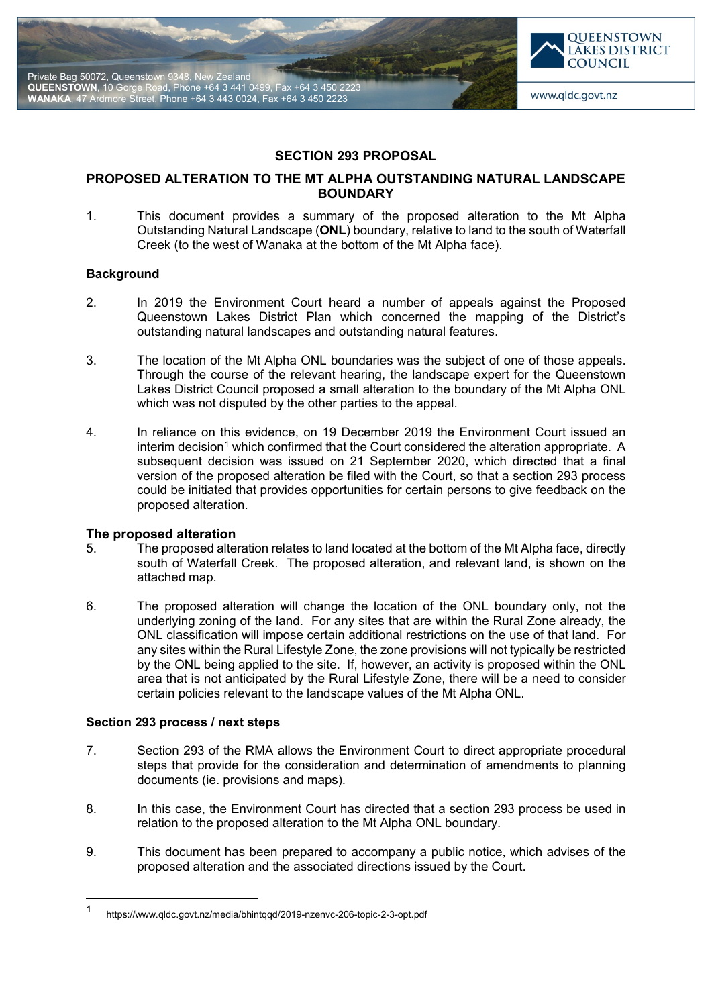



# **SECTION 293 PROPOSAL**

# **PROPOSED ALTERATION TO THE MT ALPHA OUTSTANDING NATURAL LANDSCAPE BOUNDARY**

1. This document provides a summary of the proposed alteration to the Mt Alpha Outstanding Natural Landscape (**ONL**) boundary, relative to land to the south of Waterfall Creek (to the west of Wanaka at the bottom of the Mt Alpha face).

## **Background**

- 2. In 2019 the Environment Court heard a number of appeals against the Proposed Queenstown Lakes District Plan which concerned the mapping of the District's outstanding natural landscapes and outstanding natural features.
- 3. The location of the Mt Alpha ONL boundaries was the subject of one of those appeals. Through the course of the relevant hearing, the landscape expert for the Queenstown Lakes District Council proposed a small alteration to the boundary of the Mt Alpha ONL which was not disputed by the other parties to the appeal.
- 4. In reliance on this evidence, on 19 December 2019 the Environment Court issued an  $interima$  decision<sup>[1](#page-0-0)</sup> which confirmed that the Court considered the alteration appropriate. A subsequent decision was issued on 21 September 2020, which directed that a final version of the proposed alteration be filed with the Court, so that a section 293 process could be initiated that provides opportunities for certain persons to give feedback on the proposed alteration.

## **The proposed alteration**

- 5. The proposed alteration relates to land located at the bottom of the Mt Alpha face, directly south of Waterfall Creek. The proposed alteration, and relevant land, is shown on the attached map.
- 6. The proposed alteration will change the location of the ONL boundary only, not the underlying zoning of the land. For any sites that are within the Rural Zone already, the ONL classification will impose certain additional restrictions on the use of that land. For any sites within the Rural Lifestyle Zone, the zone provisions will not typically be restricted by the ONL being applied to the site. If, however, an activity is proposed within the ONL area that is not anticipated by the Rural Lifestyle Zone, there will be a need to consider certain policies relevant to the landscape values of the Mt Alpha ONL.

## **Section 293 process / next steps**

- 7. Section 293 of the RMA allows the Environment Court to direct appropriate procedural steps that provide for the consideration and determination of amendments to planning documents (ie. provisions and maps).
- 8. In this case, the Environment Court has directed that a section 293 process be used in relation to the proposed alteration to the Mt Alpha ONL boundary.
- 9. This document has been prepared to accompany a public notice, which advises of the proposed alteration and the associated directions issued by the Court.

<span id="page-0-0"></span> <sup>1</sup> https://www.qldc.govt.nz/media/bhintqqd/2019-nzenvc-206-topic-2-3-opt.pdf